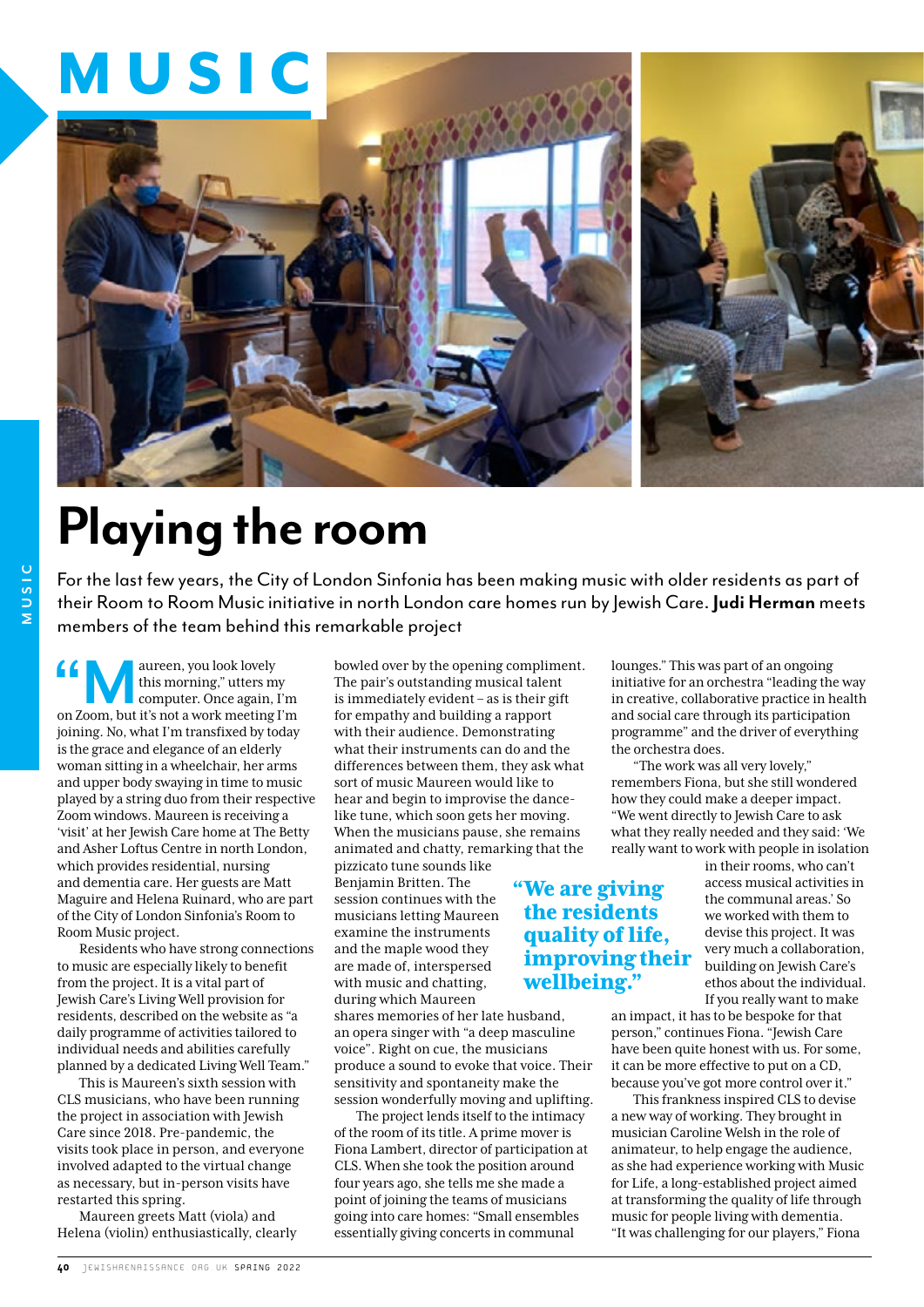## MUSIC



## **Playing the room**

For the last few years, the City of London Sinfonia has been making music with older residents as part of their Room to Room Music initiative in north London care homes run by Jewish Care. **Judi Herman** meets members of the team behind this remarkable project

**"Maureen**, you look lovely<br>this morning," utters my<br>computer. Once again, I'm<br>on Zoom, but it's not a work meeting I'm this morning," utters my computer. Once again, I'm joining. No, what I'm transfixed by today is the grace and elegance of an elderly woman sitting in a wheelchair, her arms and upper body swaying in time to music played by a string duo from their respective Zoom windows. Maureen is receiving a 'visit' at her Jewish Care home at The Betty and Asher Loftus Centre in north London, which provides residential, nursing and dementia care. Her guests are Matt Maguire and Helena Ruinard, who are part of the City of London Sinfonia's Room to Room Music project.

Residents who have strong connections to music are especially likely to benefit from the project. It is a vital part of Jewish Care's Living Well provision for residents, described on the website as "a daily programme of activities tailored to individual needs and abilities carefully planned by a dedicated Living Well Team."

This is Maureen's sixth session with CLS musicians, who have been running the project in association with Jewish Care since 2018. Pre-pandemic, the visits took place in person, and everyone involved adapted to the virtual change as necessary, but in-person visits have restarted this spring.

Maureen greets Matt (viola) and Helena (violin) enthusiastically, clearly bowled over by the opening compliment. The pair's outstanding musical talent is immediately evident – as is their gift for empathy and building a rapport with their audience. Demonstrating what their instruments can do and the differences between them, they ask what sort of music Maureen would like to hear and begin to improvise the dancelike tune, which soon gets her moving. When the musicians pause, she remains animated and chatty, remarking that the pizzicato tune sounds like

> "We are giving the residents quality of life, improving their

wellbeing."

Benjamin Britten. The session continues with the musicians letting Maureen examine the instruments and the maple wood they are made of, interspersed with music and chatting, during which Maureen

shares memories of her late husband, an opera singer with "a deep masculine voice". Right on cue, the musicians produce a sound to evoke that voice. Their sensitivity and spontaneity make the session wonderfully moving and uplifting.

The project lends itself to the intimacy of the room of its title. A prime mover is Fiona Lambert, director of participation at CLS. When she took the position around four years ago, she tells me she made a point of joining the teams of musicians going into care homes: "Small ensembles essentially giving concerts in communal

lounges." This was part of an ongoing initiative for an orchestra "leading the way in creative, collaborative practice in health and social care through its participation programme" and the driver of everything the orchestra does.

"The work was all very lovely," remembers Fiona, but she still wondered how they could make a deeper impact. "We went directly to Jewish Care to ask what they really needed and they said: 'We really want to work with people in isolation

> in their rooms, who can't access musical activities in the communal areas.' So we worked with them to devise this project. It was very much a collaboration, building on Jewish Care's ethos about the individual. If you really want to make

an impact, it has to be bespoke for that person," continues Fiona. "Jewish Care have been quite honest with us. For some, it can be more effective to put on a CD, because you've got more control over it."

This frankness inspired CLS to devise a new way of working. They brought in musician Caroline Welsh in the role of animateur, to help engage the audience, as she had experience working with Music for Life, a long-established project aimed at transforming the quality of life through music for people living with dementia. "It was challenging for our players," Fiona

## **MUSIC MUSIC**